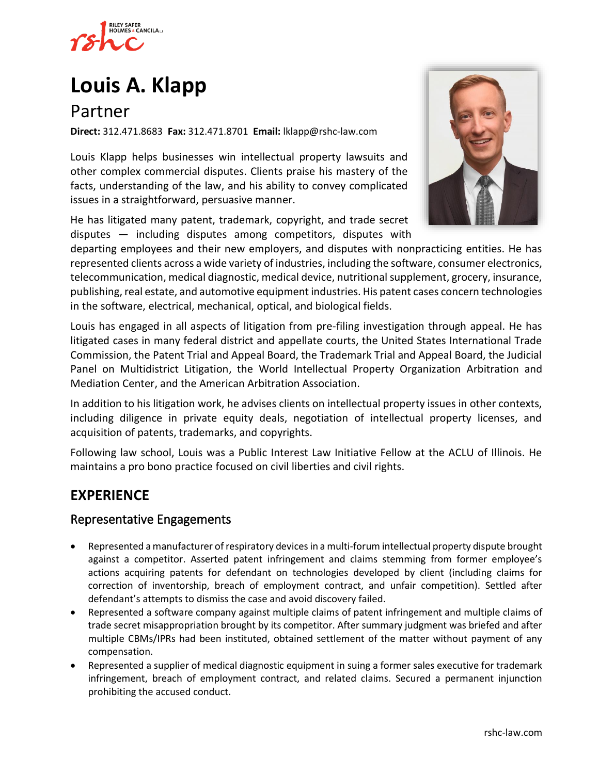

# **[Louis A. Klapp](https://www.rshc-law.com/attorneys/attorney/louis-a.-klapp)**

## Partner

**Direct:** 312.471.8683 **Fax:** 312.471.8701 **Email:** lklapp@rshc-law.com

Louis Klapp helps businesses win intellectual property lawsuits and other complex commercial disputes. Clients praise his mastery of the facts, understanding of the law, and his ability to convey complicated issues in a straightforward, persuasive manner.

He has litigated many patent, trademark, copyright, and trade secret disputes — including disputes among competitors, disputes with



departing employees and their new employers, and disputes with nonpracticing entities. He has represented clients across a wide variety of industries, including the software, consumer electronics, telecommunication, medical diagnostic, medical device, nutritional supplement, grocery, insurance, publishing, real estate, and automotive equipment industries. His patent cases concern technologies in the software, electrical, mechanical, optical, and biological fields.

Louis has engaged in all aspects of litigation from pre-filing investigation through appeal. He has litigated cases in many federal district and appellate courts, the United States International Trade Commission, the Patent Trial and Appeal Board, the Trademark Trial and Appeal Board, the Judicial Panel on Multidistrict Litigation, the World Intellectual Property Organization Arbitration and Mediation Center, and the American Arbitration Association.

In addition to his litigation work, he advises clients on intellectual property issues in other contexts, including diligence in private equity deals, negotiation of intellectual property licenses, and acquisition of patents, trademarks, and copyrights.

Following law school, Louis was a Public Interest Law Initiative Fellow at the ACLU of Illinois. He maintains a pro bono practice focused on civil liberties and civil rights.

## **EXPERIENCE**

## Representative Engagements

- Represented a manufacturer of respiratory devices in a multi-forum intellectual property dispute brought against a competitor. Asserted patent infringement and claims stemming from former employee's actions acquiring patents for defendant on technologies developed by client (including claims for correction of inventorship, breach of employment contract, and unfair competition). Settled after defendant's attempts to dismiss the case and avoid discovery failed.
- Represented a software company against multiple claims of patent infringement and multiple claims of trade secret misappropriation brought by its competitor. After summary judgment was briefed and after multiple CBMs/IPRs had been instituted, obtained settlement of the matter without payment of any compensation.
- Represented a supplier of medical diagnostic equipment in suing a former sales executive for trademark infringement, breach of employment contract, and related claims. Secured a permanent injunction prohibiting the accused conduct.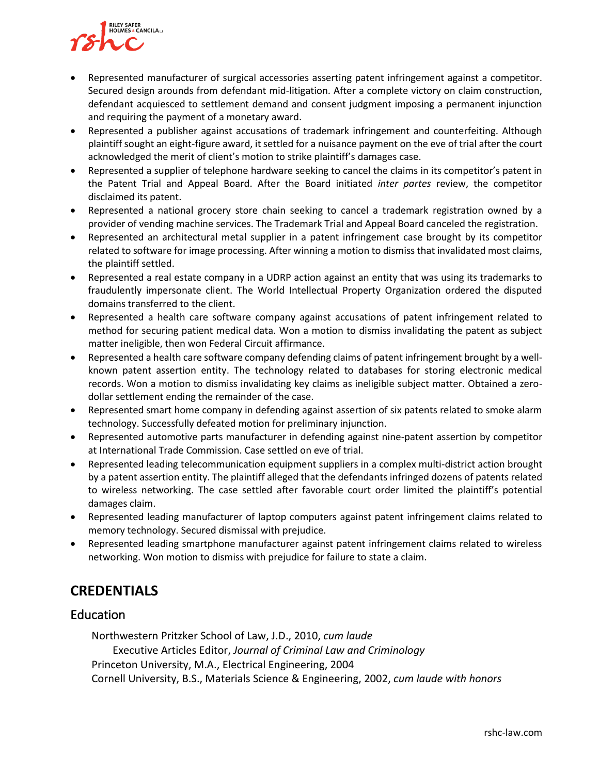

- Represented manufacturer of surgical accessories asserting patent infringement against a competitor. Secured design arounds from defendant mid-litigation. After a complete victory on claim construction, defendant acquiesced to settlement demand and consent judgment imposing a permanent injunction and requiring the payment of a monetary award.
- Represented a publisher against accusations of trademark infringement and counterfeiting. Although plaintiff sought an eight-figure award, it settled for a nuisance payment on the eve of trial after the court acknowledged the merit of client's motion to strike plaintiff's damages case.
- Represented a supplier of telephone hardware seeking to cancel the claims in its competitor's patent in the Patent Trial and Appeal Board. After the Board initiated *inter partes* review, the competitor disclaimed its patent.
- Represented a national grocery store chain seeking to cancel a trademark registration owned by a provider of vending machine services. The Trademark Trial and Appeal Board canceled the registration.
- Represented an architectural metal supplier in a patent infringement case brought by its competitor related to software for image processing. After winning a motion to dismiss that invalidated most claims, the plaintiff settled.
- Represented a real estate company in a UDRP action against an entity that was using its trademarks to fraudulently impersonate client. The World Intellectual Property Organization ordered the disputed domains transferred to the client.
- Represented a health care software company against accusations of patent infringement related to method for securing patient medical data. Won a motion to dismiss invalidating the patent as subject matter ineligible, then won Federal Circuit affirmance.
- Represented a health care software company defending claims of patent infringement brought by a wellknown patent assertion entity. The technology related to databases for storing electronic medical records. Won a motion to dismiss invalidating key claims as ineligible subject matter. Obtained a zerodollar settlement ending the remainder of the case.
- Represented smart home company in defending against assertion of six patents related to smoke alarm technology. Successfully defeated motion for preliminary injunction.
- Represented automotive parts manufacturer in defending against nine-patent assertion by competitor at International Trade Commission. Case settled on eve of trial.
- Represented leading telecommunication equipment suppliers in a complex multi-district action brought by a patent assertion entity. The plaintiff alleged that the defendants infringed dozens of patents related to wireless networking. The case settled after favorable court order limited the plaintiff's potential damages claim.
- Represented leading manufacturer of laptop computers against patent infringement claims related to memory technology. Secured dismissal with prejudice.
- Represented leading smartphone manufacturer against patent infringement claims related to wireless networking. Won motion to dismiss with prejudice for failure to state a claim.

## **CREDENTIALS**

## Education

Northwestern Pritzker School of Law, J.D., 2010, *cum laude* Executive Articles Editor, *Journal of Criminal Law and Criminology* Princeton University, M.A., Electrical Engineering, 2004 Cornell University, B.S., Materials Science & Engineering, 2002, *cum laude with honors*